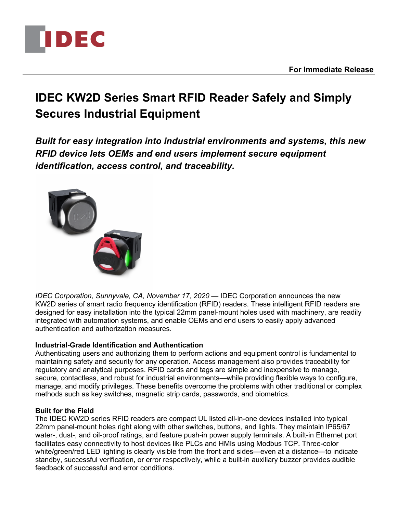

# **IDEC KW2D Series Smart RFID Reader Safely and Simply Secures Industrial Equipment**

*Built for easy integration into industrial environments and systems, this new RFID device lets OEMs and end users implement secure equipment identification, access control, and traceability.*



*IDEC Corporation, Sunnyvale, CA, November 17, 2020* — IDEC Corporation announces the new KW2D series of smart radio frequency identification (RFID) readers. These intelligent RFID readers are designed for easy installation into the typical 22mm panel-mount holes used with machinery, are readily integrated with automation systems, and enable OEMs and end users to easily apply advanced authentication and authorization measures.

## **Industrial-Grade Identification and Authentication**

Authenticating users and authorizing them to perform actions and equipment control is fundamental to maintaining safety and security for any operation. Access management also provides traceability for regulatory and analytical purposes. RFID cards and tags are simple and inexpensive to manage, secure, contactless, and robust for industrial environments—while providing flexible ways to configure, manage, and modify privileges. These benefits overcome the problems with other traditional or complex methods such as key switches, magnetic strip cards, passwords, and biometrics.

#### **Built for the Field**

The IDEC KW2D series RFID readers are compact UL listed all-in-one devices installed into typical 22mm panel-mount holes right along with other switches, buttons, and lights. They maintain IP65/67 water-, dust-, and oil-proof ratings, and feature push-in power supply terminals. A built-in Ethernet port facilitates easy connectivity to host devices like PLCs and HMIs using Modbus TCP. Three-color white/green/red LED lighting is clearly visible from the front and sides—even at a distance—to indicate standby, successful verification, or error respectively, while a built-in auxiliary buzzer provides audible feedback of successful and error conditions.